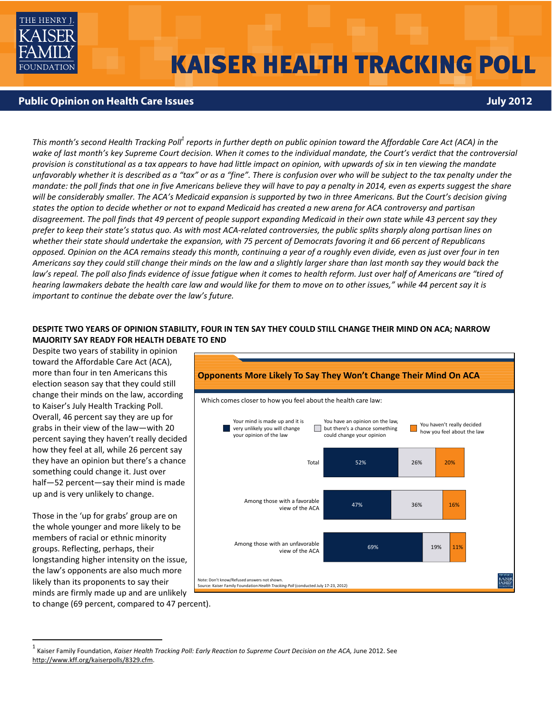

# **KAISER HEALTH TRACKING POLL**

## **Public Opinion on Health Care Issues July 2012**

This month's second Health Tracking Poll<sup>1</sup> reports in further depth on public opinion toward the Affordable Care Act (ACA) in the wake of last month's key Supreme Court decision. When it comes to the individual mandate, the Court's verdict that the controversial provision is constitutional as a tax appears to have had little impact on opinion, with upwards of six in ten viewing the mandate unfavorably whether it is described as a "tax" or as a "fine". There is confusion over who will be subject to the tax penalty under the mandate: the poll finds that one in five Americans believe they will have to pay a penalty in 2014, even as experts suggest the share will be considerably smaller. The ACA's Medicaid expansion is supported by two in three Americans. But the Court's decision giving states the option to decide whether or not to expand Medicaid has created a new arena for ACA controversy and partisan disagreement. The poll finds that 49 percent of people support expanding Medicaid in their own state while 43 percent say they prefer to keep their state's status quo. As with most ACA-related controversies, the public splits sharply along partisan lines on whether their state should undertake the expansion, with 75 percent of Democrats favoring it and 66 percent of Republicans opposed. Opinion on the ACA remains steady this month, continuing a year of a roughly even divide, even as just over four in ten Americans say they could still change their minds on the law and a slightly larger share than last month say they would back the law's repeal. The poll also finds evidence of issue fatique when it comes to health reform. Just over half of Americans are "tired of hearing lawmakers debate the health care law and would like for them to move on to other issues," while 44 percent say it is *important to continue the debate over the law's future.*

## DESPITE TWO YEARS OF OPINION STABILITY, FOUR IN TEN SAY THEY COULD STILL CHANGE THEIR MIND ON ACA; NARROW **MAJORITY SAY READY FOR HEALTH DEBATE TO END**

Despite two years of stability in opinion toward the Affordable Care Act (ACA), more than four in ten Americans this election season say that they could still change their minds on the law, according to Kaiser's July Health Tracking Poll. Overall, 46 percent say they are up for grabs in their view of the law—with 20 percent saying they haven't really decided how they feel at all, while 26 percent say they have an opinion but there's a chance something could change it. Just over half—52 percent—say their mind is made up and is very unlikely to change.

Those in the 'up for grabs' group are on the whole younger and more likely to be members of racial or ethnic minority groups. Reflecting, perhaps, their longstanding higher intensity on the issue, the law's opponents are also much more likely than its proponents to say their minds are firmly made up and are unlikely



to change (69 percent, compared to 47 percent).

<sup>1</sup> Kaiser Family Foundation, *Kaiser Health Tracking Poll: Early Reaction to Supreme Court Decision on the ACA,* June 2012. See http://www.kff.org/kaiserpolls/8329.cfm.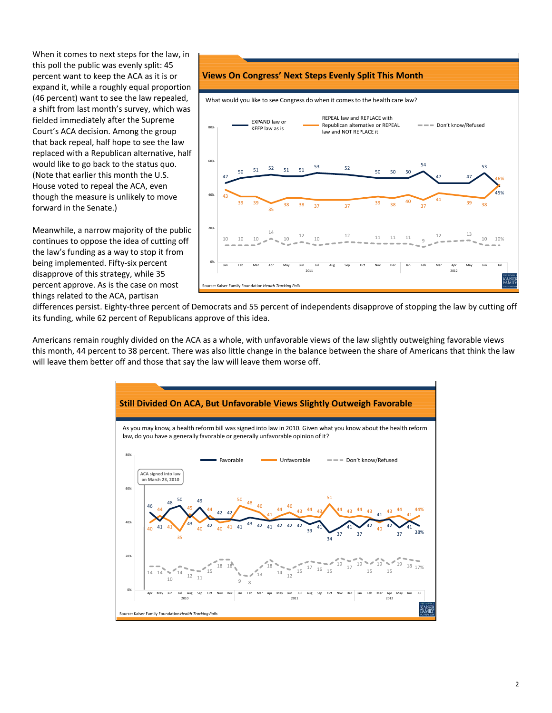When it comes to next steps for the law, in this poll the public was evenly split: 45 percent want to keep the ACA as it is or expand it, while a roughly equal proportion (46 percent) want to see the law repealed, a shift from last month's survey, which was fielded immediately after the Supreme Court's ACA decision. Among the group that back repeal, half hope to see the law replaced with a Republican alternative, half would like to go back to the status quo. (Note that earlier this month the U.S. House voted to repeal the ACA, even though the measure is unlikely to move forward in the Senate.)

Meanwhile, a narrow majority of the public continues to oppose the idea of cutting off the law's funding as a way to stop it from being implemented. Fifty‐six percent disapprove of this strategy, while 35 percent approve. As is the case on most things related to the ACA, partisan



differences persist. Eighty-three percent of Democrats and 55 percent of independents disapprove of stopping the law by cutting off its funding, while 62 percent of Republicans approve of this idea.

Americans remain roughly divided on the ACA as a whole, with unfavorable views of the law slightly outweighing favorable views this month, 44 percent to 38 percent. There was also little change in the balance between the share of Americans that think the law will leave them better off and those that say the law will leave them worse off.

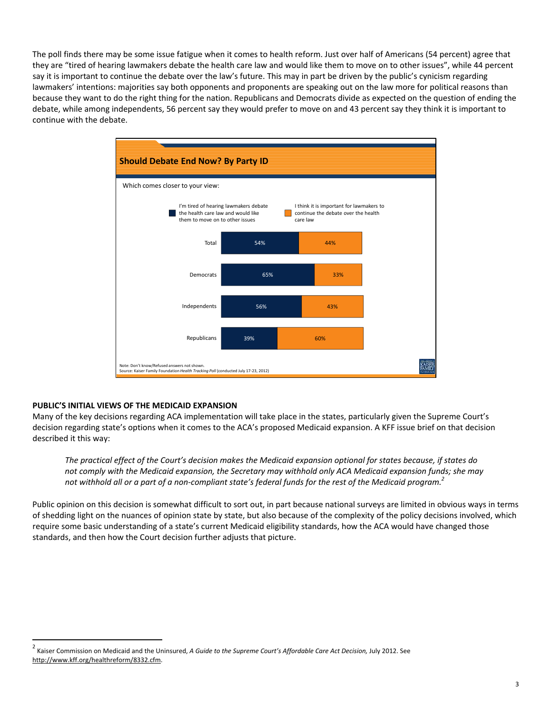The poll finds there may be some issue fatigue when it comes to health reform. Just over half of Americans (54 percent) agree that they are "tired of hearing lawmakers debate the health care law and would like them to move on to other issues", while 44 percent say it is important to continue the debate over the law's future. This may in part be driven by the public's cynicism regarding lawmakers' intentions: majorities say both opponents and proponents are speaking out on the law more for political reasons than because they want to do the right thing for the nation. Republicans and Democrats divide as expected on the question of ending the debate, while among independents, 56 percent say they would prefer to move on and 43 percent say they think it is important to continue with the debate.



### **PUBLIC'S INITIAL VIEWS OF THE MEDICAID EXPANSION**

Many of the key decisions regarding ACA implementation will take place in the states, particularly given the Supreme Court's decision regarding state's options when it comes to the ACA's proposed Medicaid expansion. A KFF issue brief on that decision described it this way:

The practical effect of the Court's decision makes the Medicaid expansion optional for states because, if states do not comply with the Medicaid expansion, the Secretary may withhold only ACA Medicaid expansion funds; she may not withhold all or a part of a non-compliant state's federal funds for the rest of the Medicaid program. $^2\,$ 

Public opinion on this decision is somewhat difficult to sort out, in part because national surveys are limited in obvious ways in terms of shedding light on the nuances of opinion state by state, but also because of the complexity of the policy decisions involved, which require some basic understanding of a state's current Medicaid eligibility standards, how the ACA would have changed those standards, and then how the Court decision further adjusts that picture.

<sup>2</sup> Kaiser Commission on Medicaid and the Uninsured, *<sup>A</sup> Guide to the Supreme Court's Affordable Care Act Decision,* July 2012. See http://www.kff.org/healthreform/8332.cfm.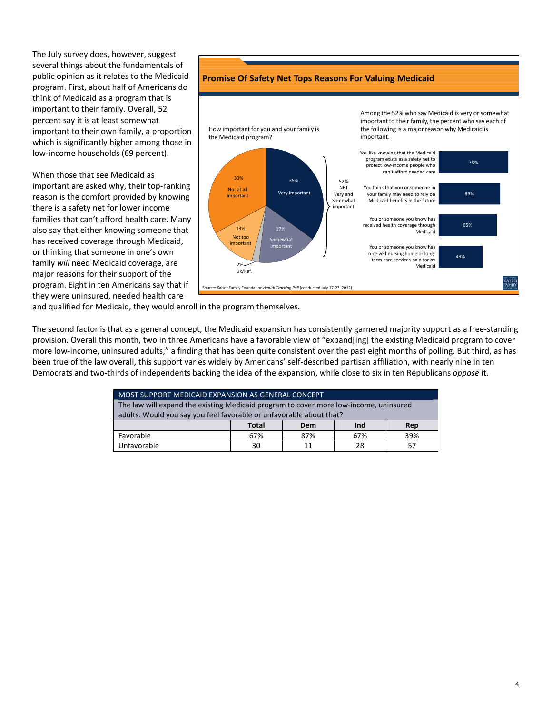The July survey does, however, suggest several things about the fundamentals of public opinion as it relates to the Medicaid program. First, about half of Americans do think of Medicaid as a program that is important to their family. Overall, 52 percent say it is at least somewhat important to their own family, a proportion which is significantly higher among those in low‐income households (69 percent).

When those that see Medicaid as important are asked why, their top‐ranking reason is the comfort provided by knowing there is a safety net for lower income families that can't afford health care. Many also say that either knowing someone that has received coverage through Medicaid, or thinking that someone in one's own family *will* need Medicaid coverage, are major reasons for their support of the program. Eight in ten Americans say that if they were uninsured, needed health care



**Promise Of Safety Net Tops Reasons For Valuing Medicaid**

and qualified for Medicaid, they would enroll in the program themselves.

The second factor is that as a general concept, the Medicaid expansion has consistently garnered majority support as a free‐standing provision. Overall this month, two in three Americans have a favorable view of "expand[ing] the existing Medicaid program to cover more low-income, uninsured adults," a finding that has been quite consistent over the past eight months of polling. But third, as has been true of the law overall, this support varies widely by Americans' self-described partisan affiliation, with nearly nine in ten Democrats and two‐thirds of independents backing the idea of the expansion, while close to six in ten Republicans *oppose* it.

| MOST SUPPORT MEDICAID EXPANSION AS GENERAL CONCEPT                                    |       |     |     |     |  |  |  |  |
|---------------------------------------------------------------------------------------|-------|-----|-----|-----|--|--|--|--|
| The law will expand the existing Medicaid program to cover more low-income, uninsured |       |     |     |     |  |  |  |  |
| adults. Would you say you feel favorable or unfavorable about that?                   |       |     |     |     |  |  |  |  |
|                                                                                       | Total | Dem | Ind | Rep |  |  |  |  |
| Favorable                                                                             | 67%   | 87% | 67% | 39% |  |  |  |  |
| Unfavorable                                                                           | 30    | 11  | 28  | 57  |  |  |  |  |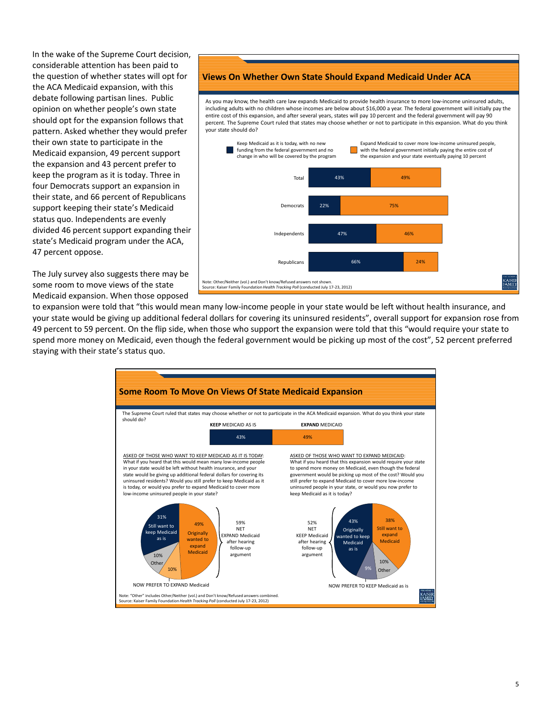In the wake of the Supreme Court decision, considerable attention has been paid to the question of whether states will opt for the ACA Medicaid expansion, with this debate following partisan lines. Public opinion on whether people's own state should opt for the expansion follows that pattern. Asked whether they would prefer their own state to participate in the Medicaid expansion, 49 percent support the expansion and 43 percent prefer to keep the program as it is today. Three in four Democrats support an expansion in their state, and 66 percent of Republicans support keeping their state's Medicaid status quo. Independents are evenly divided 46 percent support expanding their state's Medicaid program under the ACA, 47 percent oppose.

The July survey also suggests there may be some room to move views of the state Medicaid expansion. When those opposed

## **Views On Whether Own State Should Expand Medicaid Under ACA**

As you may know, the health care law expands Medicaid to provide health insurance to more low‐income uninsured adults, including adults with no children whose incomes are below about \$16,000 a year. The federal government will initially pay the entire cost of this expansion, and after several years, states will pay 10 percent and the federal government will pay 90 percent. The Supreme Court ruled that states may choose whether or not to participate in this expansion. What do you think your state should do?



to expansion were told that "this would mean many low‐income people in your state would be left without health insurance, and your state would be giving up additional federal dollars for covering its uninsured residents", overall support for expansion rose from 49 percent to 59 percent. On the flip side, when those who support the expansion were told that this "would require your state to spend more money on Medicaid, even though the federal government would be picking up most of the cost", 52 percent preferred staying with their state's status quo.

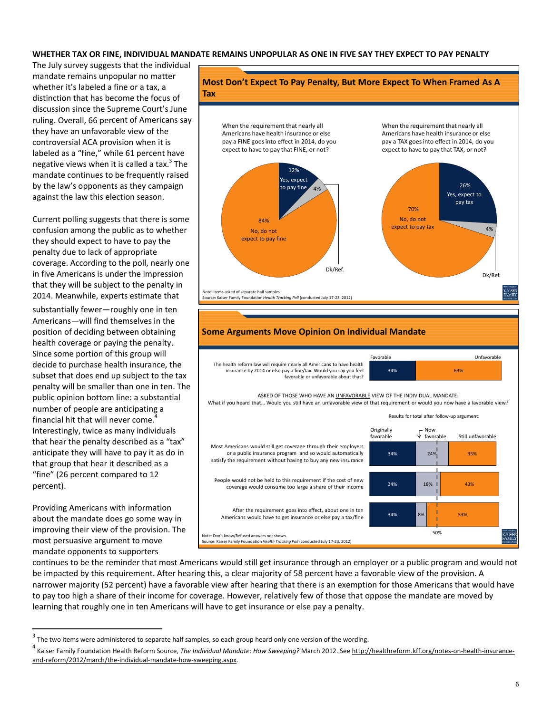#### WHETHER TAX OR FINE, INDIVIDUAL MANDATE REMAINS UNPOPULAR AS ONE IN FIVE SAY THEY EXPECT TO PAY PENALTY

**Tax**

The July survey suggests that the individual mandate remains unpopular no matter whether it's labeled a fine or a tax, a distinction that has become the focus of discussion since the Supreme Court's June ruling. Overall, 66 percent of Americans say they have an unfavorable view of the controversial ACA provision when it is labeled as a "fine," while 61 percent have negative views when it is called a tax. $3$  The mandate continues to be frequently raised by the law's opponents as they campaign against the law this election season.

Current polling suggests that there is some confusion among the public as to whether they should expect to have to pay the penalty due to lack of appropriate coverage. According to the poll, nearly one in five Americans is under the impression that they will be subject to the penalty in 2014. Meanwhile, experts estimate that

substantially fewer—roughly one in ten Americans—will find themselves in the position of deciding between obtaining health coverage or paying the penalty. Since some portion of this group will decide to purchase health insurance, the subset that does end up subject to the tax penalty will be smaller than one in ten. The public opinion bottom line: a substantial number of people are anticipating a financial hit that will never come. Interestingly, twice as many individuals that hear the penalty described as a "tax" anticipate they will have to pay it as do in that group that hear it described as a "fine" (26 percent compared to 12 percent).

Providing Americans with information about the mandate does go some way in improving their view of the provision. The most persuasive argument to move mandate opponents to supporters





The health reform law will require nearly all Americans to have health insurance by 2014 or else pay a fine/tax. Would you say you feel favorable or unfavorable about that?



ASKED OF THOSE WHO HAVE AN UNFAVORABLE VIEW OF THE INDIVIDUAL MANDATE: What if you heard that... Would you still have an unfavorable view of that requirement or would you now have a favorable view?



continues to be the reminder that most Americans would still get insurance through an employer or a public program and would not be impacted by this requirement. After hearing this, a clear majority of 58 percent have a favorable view of the provision. A narrower majority (52 percent) have a favorable view after hearing that there is an exemption for those Americans that would have to pay too high a share of their income for coverage. However, relatively few of those that oppose the mandate are moved by learning that roughly one in ten Americans will have to get insurance or else pay a penalty.

 $3$  The two items were administered to separate half samples, so each group heard only one version of the wording.

<sup>4</sup> Kaiser Family Foundation Health Reform Source, *The Individual Mandate: How Sweeping?* March 2012. See http://healthreform.kff.org/notes‐on‐health‐insurance‐ and‐reform/2012/march/the‐individual‐mandate‐how‐sweeping.aspx.